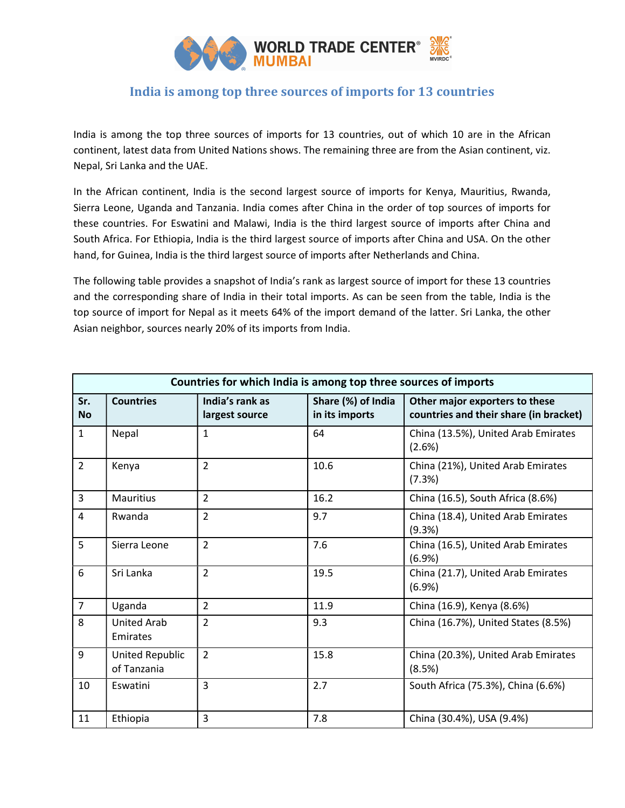

# India is among top three sources of imports for 13 countries

India is among the top three sources of imports for 13 countries, out of which 10 are in the African continent, latest data from United Nations shows. The remaining three are from the Asian continent, viz. Nepal, Sri Lanka and the UAE.

In the African continent, India is the second largest source of imports for Kenya, Mauritius, Rwanda, Sierra Leone, Uganda and Tanzania. India comes after China in the order of top sources of imports for these countries. For Eswatini and Malawi, India is the third largest source of imports after China and South Africa. For Ethiopia, India is the third largest source of imports after China and USA. On the other hand, for Guinea, India is the third largest source of imports after Netherlands and China.

The following table provides a snapshot of India's rank as largest source of import for these 13 countries and the corresponding share of India in their total imports. As can be seen from the table, India is the top source of import for Nepal as it meets 64% of the import demand of the latter. Sri Lanka, the other Asian neighbor, sources nearly 20% of its imports from India.

| Countries for which India is among top three sources of imports |                                       |                                   |                                      |                                                                          |  |  |
|-----------------------------------------------------------------|---------------------------------------|-----------------------------------|--------------------------------------|--------------------------------------------------------------------------|--|--|
| Sr.<br><b>No</b>                                                | <b>Countries</b>                      | India's rank as<br>largest source | Share (%) of India<br>in its imports | Other major exporters to these<br>countries and their share (in bracket) |  |  |
| $\mathbf{1}$                                                    | Nepal                                 | $\mathbf{1}$                      | 64                                   | China (13.5%), United Arab Emirates<br>(2.6%)                            |  |  |
| $\overline{2}$                                                  | Kenya                                 | $\overline{2}$                    | 10.6                                 | China (21%), United Arab Emirates<br>(7.3%)                              |  |  |
| 3                                                               | <b>Mauritius</b>                      | $\overline{2}$                    | 16.2                                 | China (16.5), South Africa (8.6%)                                        |  |  |
| $\overline{4}$                                                  | Rwanda                                | $\overline{2}$                    | 9.7                                  | China (18.4), United Arab Emirates<br>(9.3%)                             |  |  |
| 5                                                               | Sierra Leone                          | $\overline{2}$                    | 7.6                                  | China (16.5), United Arab Emirates<br>(6.9%)                             |  |  |
| 6                                                               | Sri Lanka                             | $\overline{2}$                    | 19.5                                 | China (21.7), United Arab Emirates<br>(6.9%)                             |  |  |
| $\overline{7}$                                                  | Uganda                                | $\overline{2}$                    | 11.9                                 | China (16.9), Kenya (8.6%)                                               |  |  |
| 8                                                               | United Arab<br>Emirates               | $\overline{2}$                    | 9.3                                  | China (16.7%), United States (8.5%)                                      |  |  |
| 9                                                               | <b>United Republic</b><br>of Tanzania | $\overline{2}$                    | 15.8                                 | China (20.3%), United Arab Emirates<br>(8.5%)                            |  |  |
| 10                                                              | Eswatini                              | 3                                 | 2.7                                  | South Africa (75.3%), China (6.6%)                                       |  |  |
| 11                                                              | Ethiopia                              | 3                                 | 7.8                                  | China (30.4%), USA (9.4%)                                                |  |  |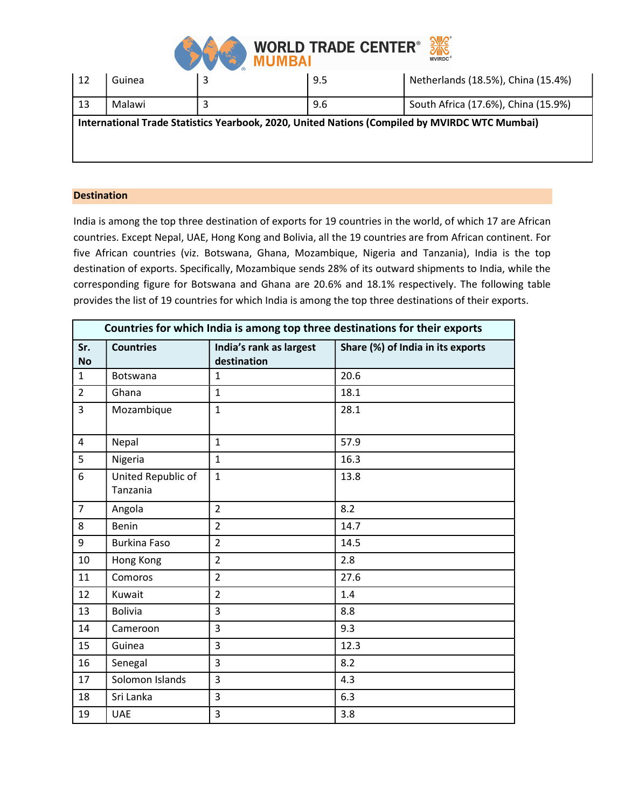

| $\sqrt{12}$                                                                                   | Guinea |  | 9.5 | Netherlands (18.5%), China (15.4%)  |  |  |  |
|-----------------------------------------------------------------------------------------------|--------|--|-----|-------------------------------------|--|--|--|
| 13                                                                                            | Malawi |  | 9.6 | South Africa (17.6%), China (15.9%) |  |  |  |
| International Trade Statistics Yearbook, 2020, United Nations (Compiled by MVIRDC WTC Mumbai) |        |  |     |                                     |  |  |  |

## **Destination**

India is among the top three destination of exports for 19 countries in the world, of which 17 are African countries. Except Nepal, UAE, Hong Kong and Bolivia, all the 19 countries are from African continent. For five African countries (viz. Botswana, Ghana, Mozambique, Nigeria and Tanzania), India is the top destination of exports. Specifically, Mozambique sends 28% of its outward shipments to India, while the corresponding figure for Botswana and Ghana are 20.6% and 18.1% respectively. The following table provides the list of 19 countries for which India is among the top three destinations of their exports.

| Countries for which India is among top three destinations for their exports |                                |                                        |                                   |  |  |  |
|-----------------------------------------------------------------------------|--------------------------------|----------------------------------------|-----------------------------------|--|--|--|
| Sr.<br><b>No</b>                                                            | <b>Countries</b>               | India's rank as largest<br>destination | Share (%) of India in its exports |  |  |  |
| $\mathbf{1}$                                                                | <b>Botswana</b>                | $\mathbf{1}$                           | 20.6                              |  |  |  |
| $\overline{2}$                                                              | Ghana                          | $\mathbf{1}$                           | 18.1                              |  |  |  |
| $\overline{3}$                                                              | Mozambique                     | $\mathbf{1}$                           | 28.1                              |  |  |  |
| $\overline{4}$                                                              | Nepal                          | $\mathbf{1}$                           | 57.9                              |  |  |  |
| 5                                                                           | Nigeria                        | $\mathbf{1}$                           | 16.3                              |  |  |  |
| 6                                                                           | United Republic of<br>Tanzania | $\mathbf{1}$                           | 13.8                              |  |  |  |
| $\overline{7}$                                                              | Angola                         | $\overline{2}$                         | 8.2                               |  |  |  |
| 8                                                                           | Benin                          | $\overline{2}$                         | 14.7                              |  |  |  |
| 9                                                                           | <b>Burkina Faso</b>            | $\overline{2}$                         | 14.5                              |  |  |  |
| 10                                                                          | Hong Kong                      | $\overline{2}$                         | 2.8                               |  |  |  |
| 11                                                                          | Comoros                        | $\overline{2}$                         | 27.6                              |  |  |  |
| 12                                                                          | Kuwait                         | $\overline{2}$                         | 1.4                               |  |  |  |
| 13                                                                          | <b>Bolivia</b>                 | 3                                      | 8.8                               |  |  |  |
| 14                                                                          | Cameroon                       | 3                                      | 9.3                               |  |  |  |
| 15                                                                          | Guinea                         | 3                                      | 12.3                              |  |  |  |
| 16                                                                          | Senegal                        | 3                                      | 8.2                               |  |  |  |
| 17                                                                          | Solomon Islands                | 3                                      | 4.3                               |  |  |  |
| 18                                                                          | Sri Lanka                      | 3                                      | 6.3                               |  |  |  |
| 19                                                                          | <b>UAE</b>                     | 3                                      | 3.8                               |  |  |  |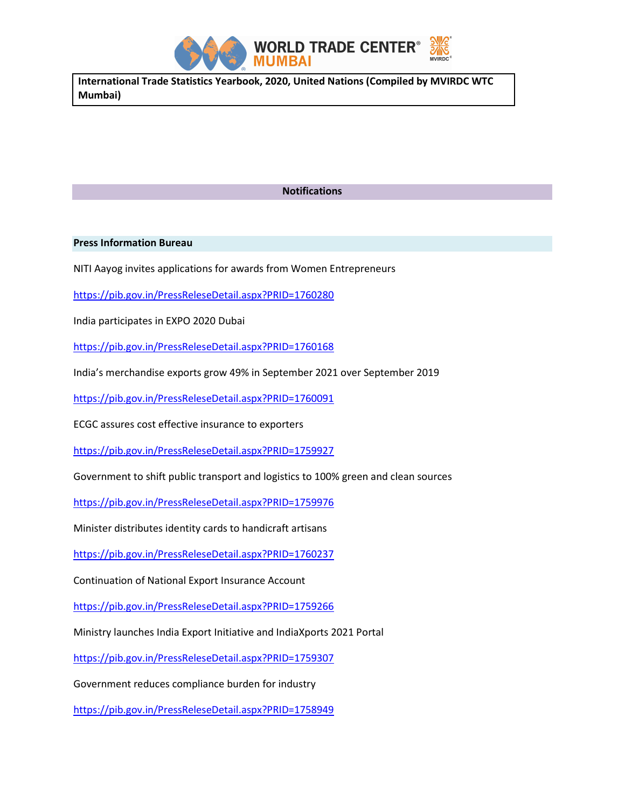

International Trade Statistics Yearbook, 2020, United Nations (Compiled by MVIRDC WTC Mumbai)

## Notifications

### Press Information Bureau

NITI Aayog invites applications for awards from Women Entrepreneurs

https://pib.gov.in/PressReleseDetail.aspx?PRID=1760280

India participates in EXPO 2020 Dubai

https://pib.gov.in/PressReleseDetail.aspx?PRID=1760168

India's merchandise exports grow 49% in September 2021 over September 2019

https://pib.gov.in/PressReleseDetail.aspx?PRID=1760091

ECGC assures cost effective insurance to exporters

https://pib.gov.in/PressReleseDetail.aspx?PRID=1759927

Government to shift public transport and logistics to 100% green and clean sources

https://pib.gov.in/PressReleseDetail.aspx?PRID=1759976

Minister distributes identity cards to handicraft artisans

https://pib.gov.in/PressReleseDetail.aspx?PRID=1760237

Continuation of National Export Insurance Account

https://pib.gov.in/PressReleseDetail.aspx?PRID=1759266

Ministry launches India Export Initiative and IndiaXports 2021 Portal

https://pib.gov.in/PressReleseDetail.aspx?PRID=1759307

Government reduces compliance burden for industry

https://pib.gov.in/PressReleseDetail.aspx?PRID=1758949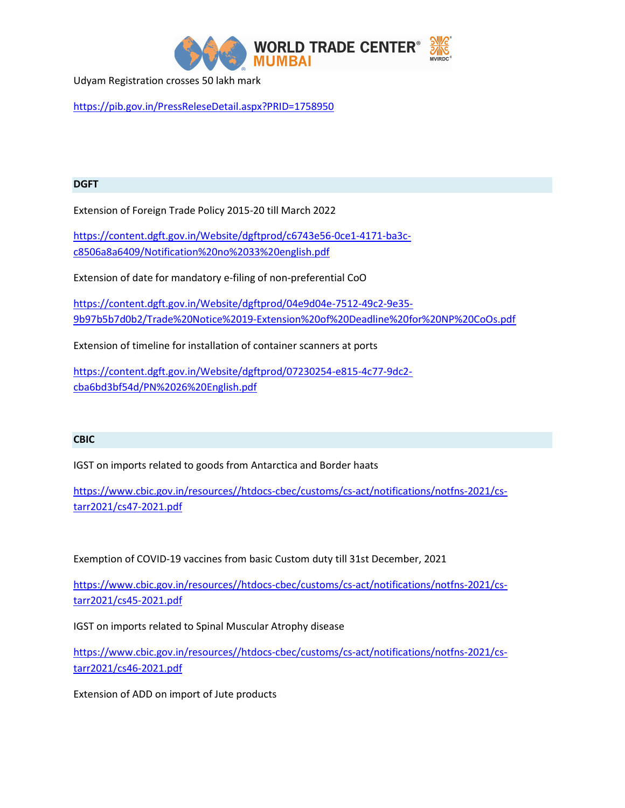

Udyam Registration crosses 50 lakh mark

https://pib.gov.in/PressReleseDetail.aspx?PRID=1758950

## DGFT

Extension of Foreign Trade Policy 2015-20 till March 2022

https://content.dgft.gov.in/Website/dgftprod/c6743e56-0ce1-4171-ba3cc8506a8a6409/Notification%20no%2033%20english.pdf

Extension of date for mandatory e-filing of non-preferential CoO

https://content.dgft.gov.in/Website/dgftprod/04e9d04e-7512-49c2-9e35- 9b97b5b7d0b2/Trade%20Notice%2019-Extension%20of%20Deadline%20for%20NP%20CoOs.pdf

Extension of timeline for installation of container scanners at ports

https://content.dgft.gov.in/Website/dgftprod/07230254-e815-4c77-9dc2 cba6bd3bf54d/PN%2026%20English.pdf

### **CBIC**

IGST on imports related to goods from Antarctica and Border haats

https://www.cbic.gov.in/resources//htdocs-cbec/customs/cs-act/notifications/notfns-2021/cstarr2021/cs47-2021.pdf

Exemption of COVID-19 vaccines from basic Custom duty till 31st December, 2021

https://www.cbic.gov.in/resources//htdocs-cbec/customs/cs-act/notifications/notfns-2021/cstarr2021/cs45-2021.pdf

IGST on imports related to Spinal Muscular Atrophy disease

https://www.cbic.gov.in/resources//htdocs-cbec/customs/cs-act/notifications/notfns-2021/cstarr2021/cs46-2021.pdf

Extension of ADD on import of Jute products